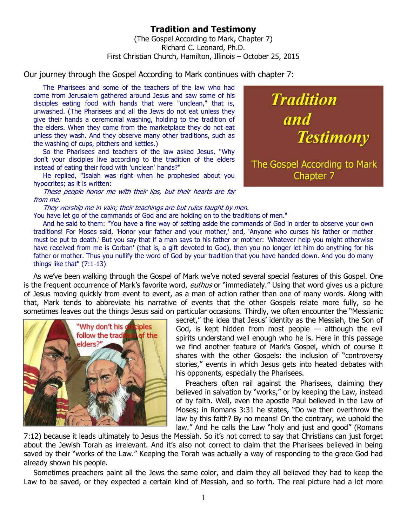## **Tradition and Testimony**  (The Gospel According to Mark, Chapter 7) Richard C. Leonard, Ph.D. First Christian Church, Hamilton, Illinois – October 25, 2015

Our journey through the Gospel According to Mark continues with chapter 7:

The Pharisees and some of the teachers of the law who had come from Jerusalem gathered around Jesus and saw some of his disciples eating food with hands that were "unclean," that is, unwashed. (The Pharisees and all the Jews do not eat unless they give their hands a ceremonial washing, holding to the tradition of the elders. When they come from the marketplace they do not eat unless they wash. And they observe many other traditions, such as the washing of cups, pitchers and kettles.)

So the Pharisees and teachers of the law asked Jesus, "Why don't your disciples live according to the tradition of the elders instead of eating their food with 'unclean' hands?"

He replied, "Isaiah was right when he prophesied about you hypocrites; as it is written:

These people honor me with their lips, but their hearts are far from me.

They worship me in vain; their teachings are but rules taught by men.

**Tradition** and<br>Testimony The Gospel According to Mark Chapter 7

You have let go of the commands of God and are holding on to the traditions of men."

And he said to them: "You have a fine way of setting aside the commands of God in order to observe your own traditions! For Moses said, 'Honor your father and your mother,' and, 'Anyone who curses his father or mother must be put to death.' But you say that if a man says to his father or mother: 'Whatever help you might otherwise have received from me is Corban' (that is, a gift devoted to God), then you no longer let him do anything for his father or mother. Thus you nullify the word of God by your tradition that you have handed down. And you do many things like that" (7:1-13)

As we've been walking through the Gospel of Mark we've noted several special features of this Gospel. One is the frequent occurrence of Mark's favorite word, euthus or "immediately." Using that word gives us a picture of Jesus moving quickly from event to event, as a man of action rather than one of many words. Along with that, Mark tends to abbreviate his narrative of events that the other Gospels relate more fully, so he sometimes leaves out the things Jesus said on particular occasions. Thirdly, we often encounter the "Messianic



secret," the idea that Jesus' identity as the Messiah, the Son of God, is kept hidden from most people  $-$  although the evil spirits understand well enough who he is. Here in this passage we find another feature of Mark's Gospel, which of course it shares with the other Gospels: the inclusion of "controversy stories," events in which Jesus gets into heated debates with his opponents, especially the Pharisees.

Preachers often rail against the Pharisees, claiming they believed in salvation by "works," or by keeping the Law, instead of by faith. Well, even the apostle Paul believed in the Law of Moses; in Romans 3:31 he states, "Do we then overthrow the law by this faith? By no means! On the contrary, we uphold the law." And he calls the Law "holy and just and good" (Romans

7:12) because it leads ultimately to Jesus the Messiah. So it's not correct to say that Christians can just forget about the Jewish Torah as irrelevant. And it's also not correct to claim that the Pharisees believed in being saved by their "works of the Law." Keeping the Torah was actually a way of responding to the grace God had already shown his people.

Sometimes preachers paint all the Jews the same color, and claim they all believed they had to keep the Law to be saved, or they expected a certain kind of Messiah, and so forth. The real picture had a lot more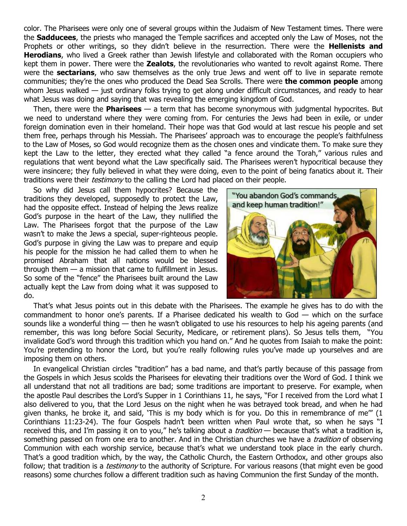color. The Pharisees were only one of several groups within the Judaism of New Testament times. There were the **Sadducees**, the priests who managed the Temple sacrifices and accepted only the Law of Moses, not the Prophets or other writings, so they didn't believe in the resurrection. There were the **Hellenists and Herodians**, who lived a Greek rather than Jewish lifestyle and collaborated with the Roman occupiers who kept them in power. There were the **Zealots**, the revolutionaries who wanted to revolt against Rome. There were the **sectarians**, who saw themselves as the only true Jews and went off to live in separate remote communities; they're the ones who produced the Dead Sea Scrolls. There were **the common people** among whom Jesus walked — just ordinary folks trying to get along under difficult circumstances, and ready to hear what Jesus was doing and saying that was revealing the emerging kingdom of God.

Then, there were the **Pharisees** — a term that has become synonymous with judgmental hypocrites. But we need to understand where they were coming from. For centuries the Jews had been in exile, or under foreign domination even in their homeland. Their hope was that God would at last rescue his people and set them free, perhaps through his Messiah. The Pharisees' approach was to encourage the people's faithfulness to the Law of Moses, so God would recognize them as the chosen ones and vindicate them. To make sure they kept the Law to the letter, they erected what they called "a fence around the Torah," various rules and regulations that went beyond what the Law specifically said. The Pharisees weren't hypocritical because they were insincere; they fully believed in what they were doing, even to the point of being fanatics about it. Their traditions were their *testimony* to the calling the Lord had placed on their people.

So why did Jesus call them hypocrites? Because the traditions they developed, supposedly to protect the Law, had the opposite effect. Instead of helping the Jews realize God's purpose in the heart of the Law, they nullified the Law. The Pharisees forgot that the purpose of the Law wasn't to make the Jews a special, super-righteous people. God's purpose in giving the Law was to prepare and equip his people for the mission he had called them to when he promised Abraham that all nations would be blessed through them  $-$  a mission that came to fulfillment in Jesus. So some of the "fence" the Pharisees built around the Law actually kept the Law from doing what it was supposed to do.



That's what Jesus points out in this debate with the Pharisees. The example he gives has to do with the commandment to honor one's parents. If a Pharisee dedicated his wealth to God — which on the surface sounds like a wonderful thing — then he wasn't obligated to use his resources to help his ageing parents (and remember, this was long before Social Security, Medicare, or retirement plans). So Jesus tells them, "You invalidate God's word through this tradition which you hand on." And he quotes from Isaiah to make the point: You're pretending to honor the Lord, but you're really following rules you've made up yourselves and are imposing them on others.

In evangelical Christian circles "tradition" has a bad name, and that's partly because of this passage from the Gospels in which Jesus scolds the Pharisees for elevating their traditions over the Word of God. I think we all understand that not all traditions are bad; some traditions are important to preserve. For example, when the apostle Paul describes the Lord's Supper in 1 Corinthians 11, he says, "For I received from the Lord what I also delivered to you, that the Lord Jesus on the night when he was betrayed took bread, and when he had given thanks, he broke it, and said, 'This is my body which is for you. Do this in remembrance of me"' (1 Corinthians 11:23-24). The four Gospels hadn't been written when Paul wrote that, so when he says "I received this, and I'm passing it on to you," he's talking about a *tradition* — because that's what a tradition is, something passed on from one era to another. And in the Christian churches we have a *tradition* of observing Communion with each worship service, because that's what we understand took place in the early church. That's a good tradition which, by the way, the Catholic Church, the Eastern Orthodox, and other groups also follow; that tradition is a *testimony* to the authority of Scripture. For various reasons (that might even be good reasons) some churches follow a different tradition such as having Communion the first Sunday of the month.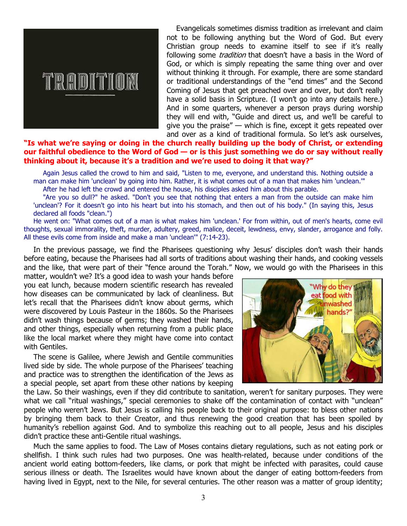

Evangelicals sometimes dismiss tradition as irrelevant and claim not to be following anything but the Word of God. But every Christian group needs to examine itself to see if it's really following some *tradition* that doesn't have a basis in the Word of God, or which is simply repeating the same thing over and over without thinking it through. For example, there are some standard or traditional understandings of the "end times" and the Second Coming of Jesus that get preached over and over, but don't really have a solid basis in Scripture. (I won't go into any details here.) And in some quarters, whenever a person prays during worship they will end with, "Guide and direct us, and we'll be careful to give you the praise"  $-$  which is fine, except it gets repeated over and over as a kind of traditional formula. So let's ask ourselves,

**"Is what we're saying or doing in the church really building up the body of Christ, or extending our faithful obedience to the Word of God — or is this just something we do or say without really thinking about it, because it's a tradition and we're used to doing it that way?"**

Again Jesus called the crowd to him and said, "Listen to me, everyone, and understand this. Nothing outside a man can make him 'unclean' by going into him. Rather, it is what comes out of a man that makes him 'unclean.'" After he had left the crowd and entered the house, his disciples asked him about this parable.

"Are you so dull?" he asked. "Don't you see that nothing that enters a man from the outside can make him 'unclean'? For it doesn't go into his heart but into his stomach, and then out of his body." (In saying this, Jesus declared all foods "clean.")

He went on: "What comes out of a man is what makes him 'unclean.' For from within, out of men's hearts, come evil thoughts, sexual immorality, theft, murder, adultery, greed, malice, deceit, lewdness, envy, slander, arrogance and folly. All these evils come from inside and make a man 'unclean'" (7:14-23).

In the previous passage, we find the Pharisees questioning why Jesus' disciples don't wash their hands before eating, because the Pharisees had all sorts of traditions about washing their hands, and cooking vessels and the like, that were part of their "fence around the Torah." Now, we would go with the Pharisees in this

matter, wouldn't we? It's a good idea to wash your hands before you eat lunch, because modern scientific research has revealed how diseases can be communicated by lack of cleanliness. But let's recall that the Pharisees didn't know about germs, which were discovered by Louis Pasteur in the 1860s. So the Pharisees didn't wash things because of germs; they washed their hands, and other things, especially when returning from a public place like the local market where they might have come into contact with Gentiles.

The scene is Galilee, where Jewish and Gentile communities lived side by side. The whole purpose of the Pharisees' teaching and practice was to strengthen the identification of the Jews as a special people, set apart from these other nations by keeping



the Law. So their washings, even if they did contribute to sanitation, weren't for sanitary purposes. They were what we call "ritual washings," special ceremonies to shake off the contamination of contact with "unclean" people who weren't Jews. But Jesus is calling his people back to their original purpose: to bless other nations by bringing them back to their Creator, and thus renewing the good creation that has been spoiled by humanity's rebellion against God. And to symbolize this reaching out to all people, Jesus and his disciples didn't practice these anti-Gentile ritual washings.

Much the same applies to food. The Law of Moses contains dietary regulations, such as not eating pork or shellfish. I think such rules had two purposes. One was health-related, because under conditions of the ancient world eating bottom-feeders, like clams, or pork that might be infected with parasites, could cause serious illness or death. The Israelites would have known about the danger of eating bottom-feeders from having lived in Egypt, next to the Nile, for several centuries. The other reason was a matter of group identity;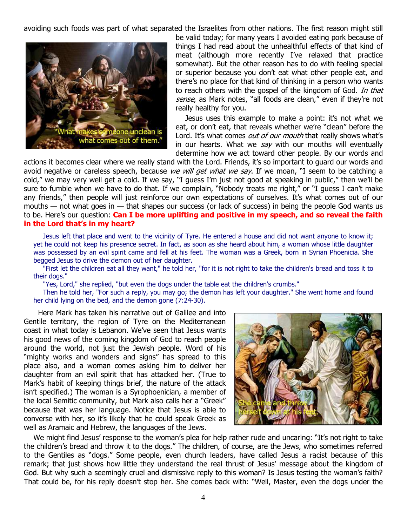avoiding such foods was part of what separated the Israelites from other nations. The first reason might still



be valid today; for many years I avoided eating pork because of things I had read about the unhealthful effects of that kind of meat (although more recently I've relaxed that practice somewhat). But the other reason has to do with feeling special or superior because you don't eat what other people eat, and there's no place for that kind of thinking in a person who wants to reach others with the gospel of the kingdom of God. In that sense, as Mark notes, "all foods are clean," even if they're not really healthy for you.

Jesus uses this example to make a point: it's not what we eat, or don't eat, that reveals whether we're "clean" before the Lord. It's what comes out of our mouth that really shows what's in our hearts. What we  $say$  with our mouths will eventually determine how we act toward other people. By our words and

actions it becomes clear where we really stand with the Lord. Friends, it's so important to guard our words and avoid negative or careless speech, because we will get what we say. If we moan, "I seem to be catching a cold," we may very well get a cold. If we say, "I guess I'm just not good at speaking in public," then we'll be sure to fumble when we have to do that. If we complain, "Nobody treats me right," or "I guess I can't make any friends," then people will just reinforce our own expectations of ourselves. It's what comes out of our mouths — not what goes in — that shapes our success (or lack of success) in being the people God wants us to be. Here's our question: **Can I be more uplifting and positive in my speech, and so reveal the faith in the Lord that's in my heart?** 

Jesus left that place and went to the vicinity of Tyre. He entered a house and did not want anyone to know it; yet he could not keep his presence secret. In fact, as soon as she heard about him, a woman whose little daughter was possessed by an evil spirit came and fell at his feet. The woman was a Greek, born in Syrian Phoenicia. She begged Jesus to drive the demon out of her daughter.

"First let the children eat all they want," he told her, "for it is not right to take the children's bread and toss it to their dogs."

"Yes, Lord," she replied, "but even the dogs under the table eat the children's crumbs."

Then he told her, "For such a reply, you may go; the demon has left your daughter." She went home and found her child lying on the bed, and the demon gone (7:24-30).

 Here Mark has taken his narrative out of Galilee and into Gentile territory, the region of Tyre on the Mediterranean coast in what today is Lebanon. We've seen that Jesus wants his good news of the coming kingdom of God to reach people around the world, not just the Jewish people. Word of his "mighty works and wonders and signs" has spread to this place also, and a woman comes asking him to deliver her daughter from an evil spirit that has attacked her. (True to Mark's habit of keeping things brief, the nature of the attack isn't specified.) The woman is a Syrophoenician, a member of the local Semitic community, but Mark also calls her a "Greek" because that was her language. Notice that Jesus is able to converse with her, so it's likely that he could speak Greek as well as Aramaic and Hebrew, the languages of the Jews.



We might find Jesus' response to the woman's plea for help rather rude and uncaring: "It's not right to take the children's bread and throw it to the dogs." The children, of course, are the Jews, who sometimes referred to the Gentiles as "dogs." Some people, even church leaders, have called Jesus a racist because of this remark; that just shows how little they understand the real thrust of Jesus' message about the kingdom of God. But why such a seemingly cruel and dismissive reply to this woman? Is Jesus testing the woman's faith? That could be, for his reply doesn't stop her. She comes back with: "Well, Master, even the dogs under the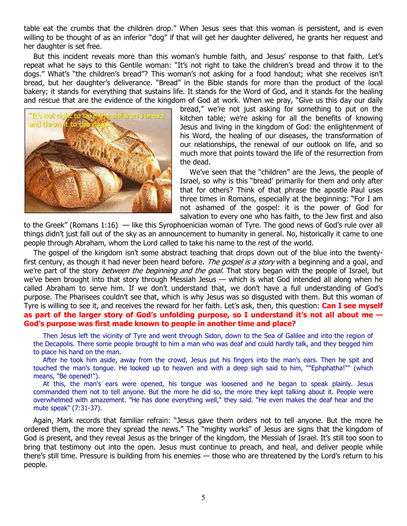table eat the crumbs that the children drop." When Jesus sees that this woman is persistent, and is even willing to be thought of as an inferior "dog" if that will get her daughter delivered, he grants her request and her daughter is set free.

But this incident reveals more than this woman's humble faith, and Jesus' response to that faith. Let's repeat what he says to this Gentile woman: "It's not right to take the children's bread and throw it to the dogs." What's "the children's bread"? This woman's not asking for a food handout; what she receives isn't bread, but her daughter's deliverance. "Bread" in the Bible stands for more than the product of the local bakery; it stands for everything that sustains life. It stands for the Word of God, and it stands for the healing and rescue that are the evidence of the kingdom of God at work. When we pray, "Give us this day our daily



bread," we're not just asking for something to put on the kitchen table; we're asking for all the benefits of knowing Jesus and living in the kingdom of God: the enlightenment of his Word, the healing of our diseases, the transformation of our relationships, the renewal of our outlook on life, and so much more that points toward the life of the resurrection from the dead.

We've seen that the "children" are the Jews, the people of Israel, so why is this "bread' primarily for them and only after that for others? Think of that phrase the apostle Paul uses three times in Romans, especially at the beginning: "For I am not ashamed of the gospel: it is the power of God for salvation to every one who has faith, to the Jew first and also

to the Greek" (Romans 1:16) — like this Syrophoenician woman of Tyre. The good news of God's rule over all things didn't just fall out of the sky as an announcement to humanity in general. No, historically it came to one people through Abraham, whom the Lord called to take his name to the rest of the world.

The gospel of the kingdom isn't some abstract teaching that drops down out of the blue into the twentyfirst century, as though it had never been heard before. *The gospel is a story* with a beginning and a goal, and we're part of the story *between the beginning and the goal*. That story began with the people of Israel, but we've been brought into that story through Messiah Jesus — which is what God intended all along when he called Abraham to serve him. If we don't understand that, we don't have a full understanding of God's purpose. The Pharisees couldn't see that, which is why Jesus was so disgusted with them. But this woman of Tyre is willing to see it, and receives the reward for her faith. Let's ask, then, this question: **Can I see myself as part of the larger story of God's unfolding purpose, so I understand it's not all about me — God's purpose was first made known to people in another time and place?**

Then Jesus left the vicinity of Tyre and went through Sidon, down to the Sea of Galilee and into the region of the Decapolis. There some people brought to him a man who was deaf and could hardly talk, and they begged him to place his hand on the man.

After he took him aside, away from the crowd, Jesus put his fingers into the man's ears. Then he spit and touched the man's tongue. He looked up to heaven and with a deep sigh said to him, ""Ephphatha!"" (which means, "Be opened!").

At this, the man's ears were opened, his tongue was loosened and he began to speak plainly. Jesus commanded them not to tell anyone. But the more he did so, the more they kept talking about it. People were overwhelmed with amazement. "He has done everything well," they said. "He even makes the deaf hear and the mute speak" (7:31-37).

Again, Mark records that familiar refrain: "Jesus gave them orders not to tell anyone. But the more he ordered them, the more they spread the news." The "mighty works" of Jesus are signs that the kingdom of God is present, and they reveal Jesus as the bringer of the kingdom, the Messiah of Israel. It's still too soon to bring that testimony out into the open. Jesus must continue to preach, and heal, and deliver people while there's still time. Pressure is building from his enemies — those who are threatened by the Lord's return to his people.